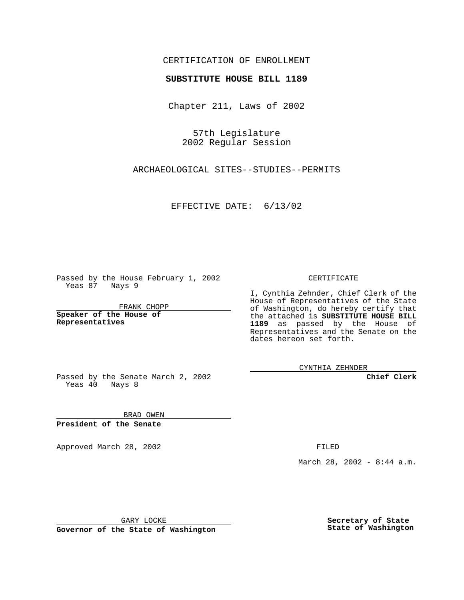## CERTIFICATION OF ENROLLMENT

## **SUBSTITUTE HOUSE BILL 1189**

Chapter 211, Laws of 2002

57th Legislature 2002 Regular Session

ARCHAEOLOGICAL SITES--STUDIES--PERMITS

EFFECTIVE DATE: 6/13/02

Passed by the House February 1, 2002 Yeas 87 Nays 9

FRANK CHOPP

**Speaker of the House of Representatives**

CERTIFICATE

I, Cynthia Zehnder, Chief Clerk of the House of Representatives of the State of Washington, do hereby certify that the attached is **SUBSTITUTE HOUSE BILL 1189** as passed by the House of Representatives and the Senate on the dates hereon set forth.

CYNTHIA ZEHNDER

**Chief Clerk**

Passed by the Senate March 2, 2002 Yeas 40 Nays 8

BRAD OWEN **President of the Senate**

Approved March 28, 2002 **FILED** 

March 28, 2002 - 8:44 a.m.

GARY LOCKE

**Governor of the State of Washington**

**Secretary of State State of Washington**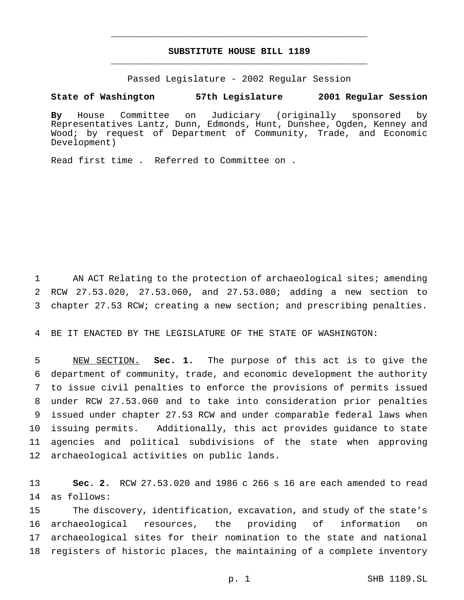## **SUBSTITUTE HOUSE BILL 1189** \_\_\_\_\_\_\_\_\_\_\_\_\_\_\_\_\_\_\_\_\_\_\_\_\_\_\_\_\_\_\_\_\_\_\_\_\_\_\_\_\_\_\_\_\_\_\_

\_\_\_\_\_\_\_\_\_\_\_\_\_\_\_\_\_\_\_\_\_\_\_\_\_\_\_\_\_\_\_\_\_\_\_\_\_\_\_\_\_\_\_\_\_\_\_

Passed Legislature - 2002 Regular Session

## **State of Washington 57th Legislature 2001 Regular Session**

**By** House Committee on Judiciary (originally sponsored by Representatives Lantz, Dunn, Edmonds, Hunt, Dunshee, Ogden, Kenney and Wood; by request of Department of Community, Trade, and Economic Development)

Read first time . Referred to Committee on .

 AN ACT Relating to the protection of archaeological sites; amending RCW 27.53.020, 27.53.060, and 27.53.080; adding a new section to chapter 27.53 RCW; creating a new section; and prescribing penalties.

BE IT ENACTED BY THE LEGISLATURE OF THE STATE OF WASHINGTON:

 NEW SECTION. **Sec. 1.** The purpose of this act is to give the department of community, trade, and economic development the authority to issue civil penalties to enforce the provisions of permits issued under RCW 27.53.060 and to take into consideration prior penalties issued under chapter 27.53 RCW and under comparable federal laws when issuing permits. Additionally, this act provides guidance to state agencies and political subdivisions of the state when approving archaeological activities on public lands.

 **Sec. 2.** RCW 27.53.020 and 1986 c 266 s 16 are each amended to read as follows:

 The discovery, identification, excavation, and study of the state's archaeological resources, the providing of information on archaeological sites for their nomination to the state and national registers of historic places, the maintaining of a complete inventory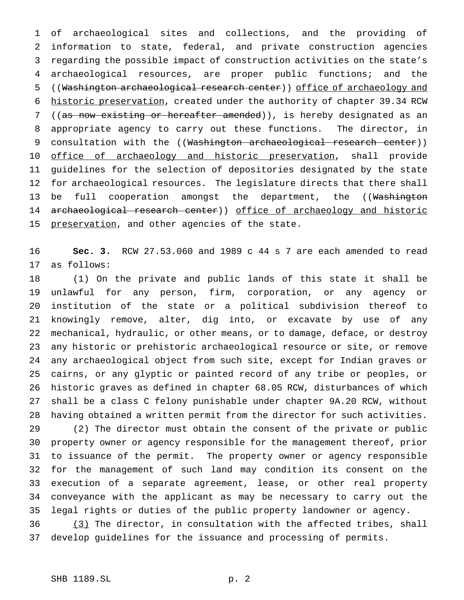of archaeological sites and collections, and the providing of information to state, federal, and private construction agencies regarding the possible impact of construction activities on the state's archaeological resources, are proper public functions; and the ((Washington archaeological research center)) office of archaeology and historic preservation, created under the authority of chapter 39.34 RCW 7 ((as now existing or hereafter amended)), is hereby designated as an appropriate agency to carry out these functions. The director, in 9 consultation with the ((Washington archaeological research center)) 10 office of archaeology and historic preservation, shall provide guidelines for the selection of depositories designated by the state for archaeological resources. The legislature directs that there shall 13 be full cooperation amongst the department, the ((Washington 14 archaeological research center)) office of archaeology and historic 15 preservation, and other agencies of the state.

 **Sec. 3.** RCW 27.53.060 and 1989 c 44 s 7 are each amended to read as follows:

 (1) On the private and public lands of this state it shall be unlawful for any person, firm, corporation, or any agency or institution of the state or a political subdivision thereof to knowingly remove, alter, dig into, or excavate by use of any mechanical, hydraulic, or other means, or to damage, deface, or destroy any historic or prehistoric archaeological resource or site, or remove any archaeological object from such site, except for Indian graves or cairns, or any glyptic or painted record of any tribe or peoples, or historic graves as defined in chapter 68.05 RCW, disturbances of which shall be a class C felony punishable under chapter 9A.20 RCW, without having obtained a written permit from the director for such activities.

 (2) The director must obtain the consent of the private or public property owner or agency responsible for the management thereof, prior to issuance of the permit. The property owner or agency responsible for the management of such land may condition its consent on the execution of a separate agreement, lease, or other real property conveyance with the applicant as may be necessary to carry out the legal rights or duties of the public property landowner or agency.

36 (3) The director, in consultation with the affected tribes, shall develop guidelines for the issuance and processing of permits.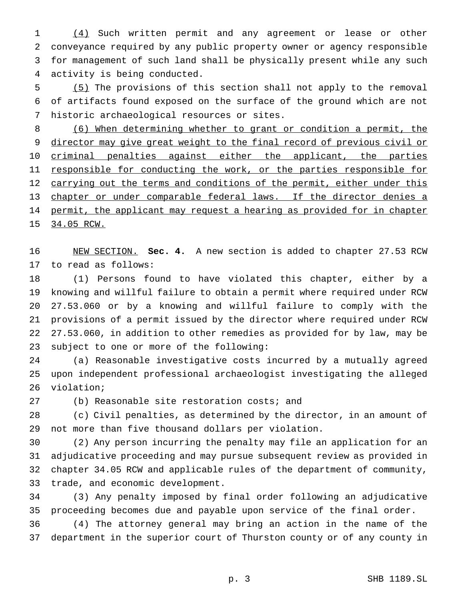(4) Such written permit and any agreement or lease or other conveyance required by any public property owner or agency responsible for management of such land shall be physically present while any such activity is being conducted.

 (5) The provisions of this section shall not apply to the removal of artifacts found exposed on the surface of the ground which are not historic archaeological resources or sites.

 (6) When determining whether to grant or condition a permit, the 9 director may give great weight to the final record of previous civil or 10 criminal penalties against either the applicant, the parties 11 responsible for conducting the work, or the parties responsible for 12 carrying out the terms and conditions of the permit, either under this 13 chapter or under comparable federal laws. If the director denies a 14 permit, the applicant may request a hearing as provided for in chapter 15 34.05 RCW.

 NEW SECTION. **Sec. 4.** A new section is added to chapter 27.53 RCW to read as follows:

 (1) Persons found to have violated this chapter, either by a knowing and willful failure to obtain a permit where required under RCW 27.53.060 or by a knowing and willful failure to comply with the provisions of a permit issued by the director where required under RCW 27.53.060, in addition to other remedies as provided for by law, may be subject to one or more of the following:

 (a) Reasonable investigative costs incurred by a mutually agreed upon independent professional archaeologist investigating the alleged violation;

(b) Reasonable site restoration costs; and

 (c) Civil penalties, as determined by the director, in an amount of not more than five thousand dollars per violation.

 (2) Any person incurring the penalty may file an application for an adjudicative proceeding and may pursue subsequent review as provided in chapter 34.05 RCW and applicable rules of the department of community, trade, and economic development.

 (3) Any penalty imposed by final order following an adjudicative proceeding becomes due and payable upon service of the final order.

 (4) The attorney general may bring an action in the name of the department in the superior court of Thurston county or of any county in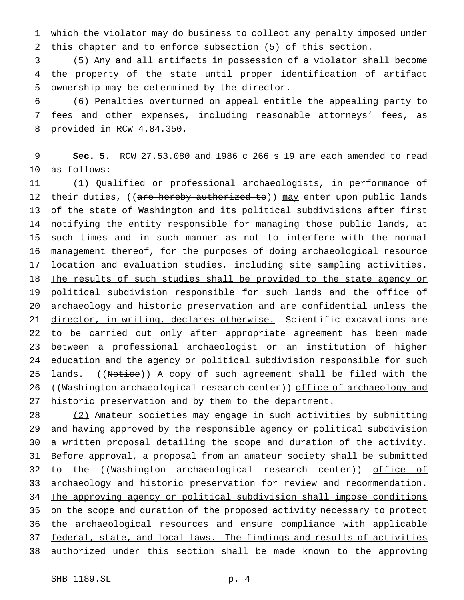which the violator may do business to collect any penalty imposed under this chapter and to enforce subsection (5) of this section.

 (5) Any and all artifacts in possession of a violator shall become the property of the state until proper identification of artifact ownership may be determined by the director.

 (6) Penalties overturned on appeal entitle the appealing party to fees and other expenses, including reasonable attorneys' fees, as provided in RCW 4.84.350.

 **Sec. 5.** RCW 27.53.080 and 1986 c 266 s 19 are each amended to read as follows:

 (1) Qualified or professional archaeologists, in performance of 12 their duties, ((are hereby authorized to)) may enter upon public lands 13 of the state of Washington and its political subdivisions after first 14 notifying the entity responsible for managing those public lands, at such times and in such manner as not to interfere with the normal management thereof, for the purposes of doing archaeological resource location and evaluation studies, including site sampling activities. 18 The results of such studies shall be provided to the state agency or political subdivision responsible for such lands and the office of archaeology and historic preservation and are confidential unless the 21 director, in writing, declares otherwise. Scientific excavations are to be carried out only after appropriate agreement has been made between a professional archaeologist or an institution of higher education and the agency or political subdivision responsible for such 25 lands. ((Notice)) A copy of such agreement shall be filed with the 26 ((Washington archaeological research center)) office of archaeology and 27 historic preservation and by them to the department.

 (2) Amateur societies may engage in such activities by submitting and having approved by the responsible agency or political subdivision a written proposal detailing the scope and duration of the activity. Before approval, a proposal from an amateur society shall be submitted 32 to the ((Washington archaeological research center)) office of 33 archaeology and historic preservation for review and recommendation. The approving agency or political subdivision shall impose conditions 35 on the scope and duration of the proposed activity necessary to protect the archaeological resources and ensure compliance with applicable 37 federal, state, and local laws. The findings and results of activities authorized under this section shall be made known to the approving